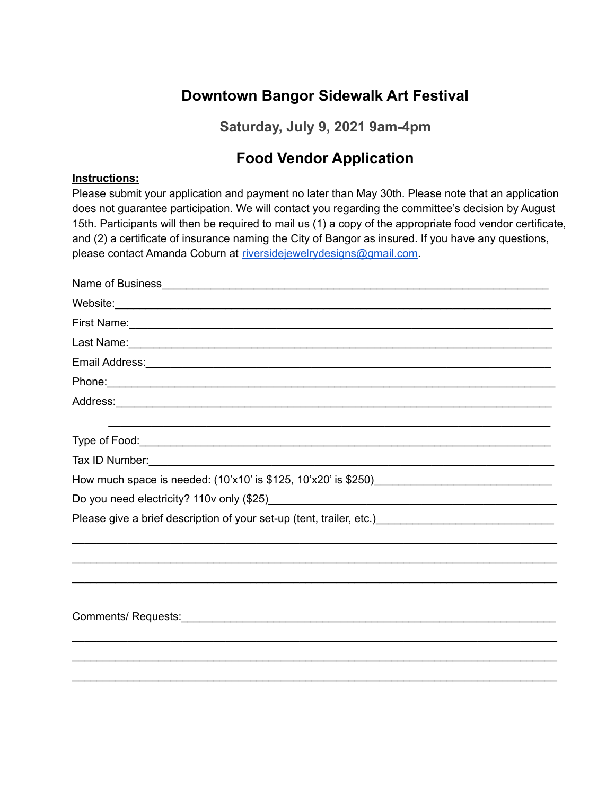# **Downtown Bangor Sidewalk Art Festival**

**Saturday, July 9, 2021 9am-4pm**

## **Food Vendor Application**

### **Instructions:**

Please submit your application and payment no later than May 30th. Please note that an application does not guarantee participation. We will contact you regarding the committee's decision by August 15th. Participants will then be required to mail us (1) a copy of the appropriate food vendor certificate, and (2) a certificate of insurance naming the City of Bangor as insured. If you have any questions, please contact Amanda Coburn at riversideiewelrydesigns@gmail.com.

| First Name: <u>Communications</u> Contract the Contract of the Contract of the Contract of the Contract of the Contract of the Contract of the Contract of the Contract of the Contract of the Contract of the Contract of the Cont  |
|--------------------------------------------------------------------------------------------------------------------------------------------------------------------------------------------------------------------------------------|
|                                                                                                                                                                                                                                      |
|                                                                                                                                                                                                                                      |
| Phone: <u>contract the contract of the contract of the contract of the contract of the contract of the contract of the contract of the contract of the contract of the contract of the contract of the contract of the contract </u> |
|                                                                                                                                                                                                                                      |
|                                                                                                                                                                                                                                      |
| Tax ID Number:<br><u> Tax ID Number:</u>                                                                                                                                                                                             |
|                                                                                                                                                                                                                                      |
|                                                                                                                                                                                                                                      |
| Please give a brief description of your set-up (tent, trailer, etc.) [19] [20] [20] [20] [20] [20] [20] [20] [                                                                                                                       |
|                                                                                                                                                                                                                                      |
|                                                                                                                                                                                                                                      |
|                                                                                                                                                                                                                                      |
|                                                                                                                                                                                                                                      |
|                                                                                                                                                                                                                                      |
|                                                                                                                                                                                                                                      |
|                                                                                                                                                                                                                                      |